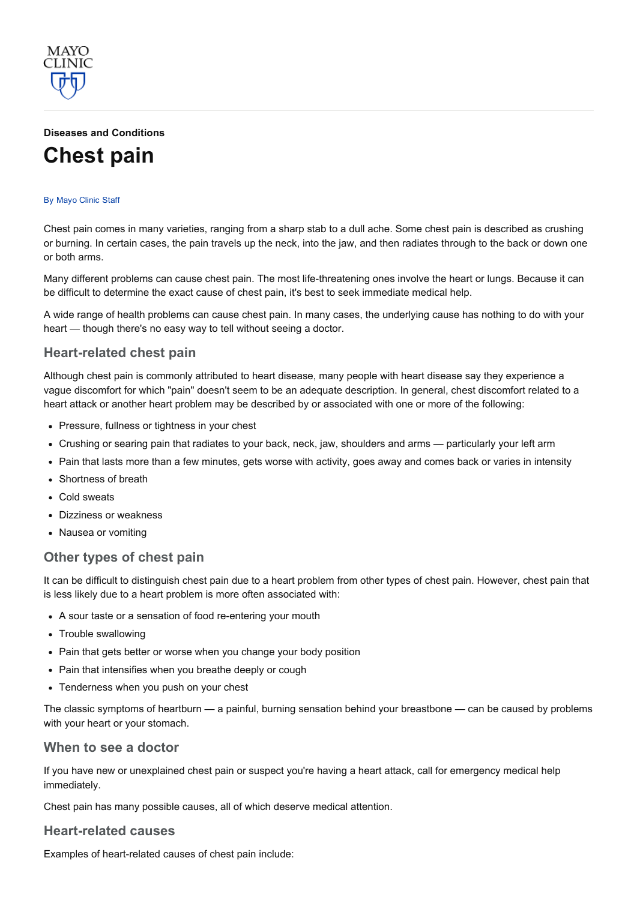

# Diseases and [Conditions](http://www.mayoclinic.org/diseases-conditions) [Chest](http://www.mayoclinic.org/diseases-conditions/chest-pain/basics/definition/con-20030540) pain

#### By [Mayo](http://www.mayoclinic.org/about-this-site/welcome) Clinic Staff

Chest pain comes in many varieties, ranging from a sharp stab to a dull ache. Some chest pain is described as crushing or burning. In certain cases, the pain travels up the neck, into the jaw, and then radiates through to the back or down one or both arms.

Many different problems can cause chest pain. The most life-threatening ones involve the heart or lungs. Because it can be difficult to determine the exact cause of chest pain, it's best to seek immediate medical help.

A wide range of health problems can cause chest pain. In many cases, the underlying cause has nothing to do with your heart — though there's no easy way to tell without seeing a doctor.

### Heart-related chest pain

Although chest pain is commonly attributed to heart disease, many people with heart disease say they experience a vague discomfort for which "pain" doesn't seem to be an adequate description. In general, chest discomfort related to a heart attack or another heart problem may be described by or associated with one or more of the following:

- Pressure, fullness or tightness in your chest
- Crushing or searing pain that radiates to your back, neck, jaw, shoulders and arms particularly your left arm
- Pain that lasts more than a few minutes, gets worse with activity, goes away and comes back or varies in intensity
- Shortness of breath
- Cold sweats
- Dizziness or weakness
- Nausea or vomiting

# Other types of chest pain

It can be difficult to distinguish chest pain due to a heart problem from other types of chest pain. However, chest pain that is less likely due to a heart problem is more often associated with:

- A sour taste or a sensation of food re-entering your mouth
- Trouble swallowing
- Pain that gets better or worse when you change your body position
- Pain that intensifies when you breathe deeply or cough
- Tenderness when you push on your chest

The classic symptoms of heartburn — a painful, burning sensation behind your breastbone — can be caused by problems with your heart or your stomach.

#### When to see a doctor

If you have new or unexplained chest pain or suspect you're having a heart attack, call for emergency medical help immediately.

Chest pain has many possible causes, all of which deserve medical attention.

## **Heart-related causes**

Examples of heart-related causes of chest pain include: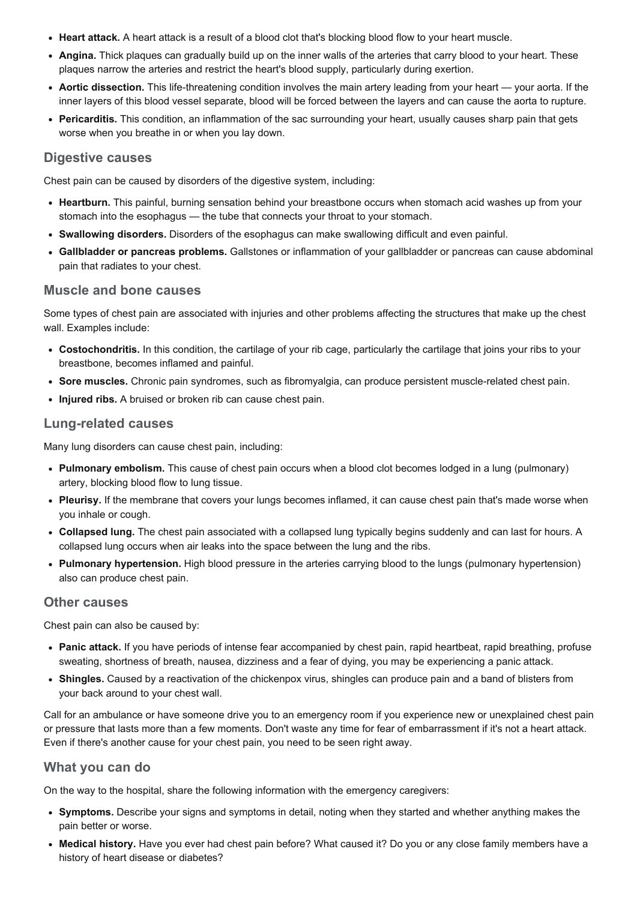- Heart attack. A heart attack is a result of a blood clot that's blocking blood flow to your heart muscle.
- Angina. Thick plaques can gradually build up on the inner walls of the arteries that carry blood to your heart. These plaques narrow the arteries and restrict the heart's blood supply, particularly during exertion.
- Aortic dissection. This life-threatening condition involves the main artery leading from your heart your aorta. If the inner layers of this blood vessel separate, blood will be forced between the layers and can cause the aorta to rupture.
- Pericarditis. This condition, an inflammation of the sac surrounding your heart, usually causes sharp pain that gets worse when you breathe in or when you lay down.

## Digestive causes

Chest pain can be caused by disorders of the digestive system, including:

- Heartburn. This painful, burning sensation behind your breastbone occurs when stomach acid washes up from your stomach into the esophagus — the tube that connects your throat to your stomach.
- Swallowing disorders. Disorders of the esophagus can make swallowing difficult and even painful.
- Gallbladder or pancreas problems. Gallstones or inflammation of your gallbladder or pancreas can cause abdominal pain that radiates to your chest.

### Muscle and bone causes

Some types of chest pain are associated with injuries and other problems affecting the structures that make up the chest wall. Examples include:

- Costochondritis. In this condition, the cartilage of your rib cage, particularly the cartilage that joins your ribs to your breastbone, becomes inflamed and painful.
- Sore muscles. Chronic pain syndromes, such as fibromyalgia, can produce persistent muscle-related chest pain.
- Injured ribs. A bruised or broken rib can cause chest pain.

## **Lung-related causes**

Many lung disorders can cause chest pain, including:

- Pulmonary embolism. This cause of chest pain occurs when a blood clot becomes lodged in a lung (pulmonary) artery, blocking blood flow to lung tissue.
- Pleurisy. If the membrane that covers your lungs becomes inflamed, it can cause chest pain that's made worse when you inhale or cough.
- Collapsed lung. The chest pain associated with a collapsed lung typically begins suddenly and can last for hours. A collapsed lung occurs when air leaks into the space between the lung and the ribs.
- Pulmonary hypertension. High blood pressure in the arteries carrying blood to the lungs (pulmonary hypertension) also can produce chest pain.

#### Other causes

Chest pain can also be caused by:

- Panic attack. If you have periods of intense fear accompanied by chest pain, rapid heartbeat, rapid breathing, profuse sweating, shortness of breath, nausea, dizziness and a fear of dying, you may be experiencing a panic attack.
- Shingles. Caused by a reactivation of the chickenpox virus, shingles can produce pain and a band of blisters from your back around to your chest wall.

Call for an ambulance or have someone drive you to an emergency room if you experience new or unexplained chest pain or pressure that lasts more than a few moments. Don't waste any time for fear of embarrassment if it's not a heart attack. Even if there's another cause for your chest pain, you need to be seen right away.

## What you can do

On the way to the hospital, share the following information with the emergency caregivers:

- Symptoms. Describe your signs and symptoms in detail, noting when they started and whether anything makes the pain better or worse.
- Medical history. Have you ever had chest pain before? What caused it? Do you or any close family members have a history of heart disease or diabetes?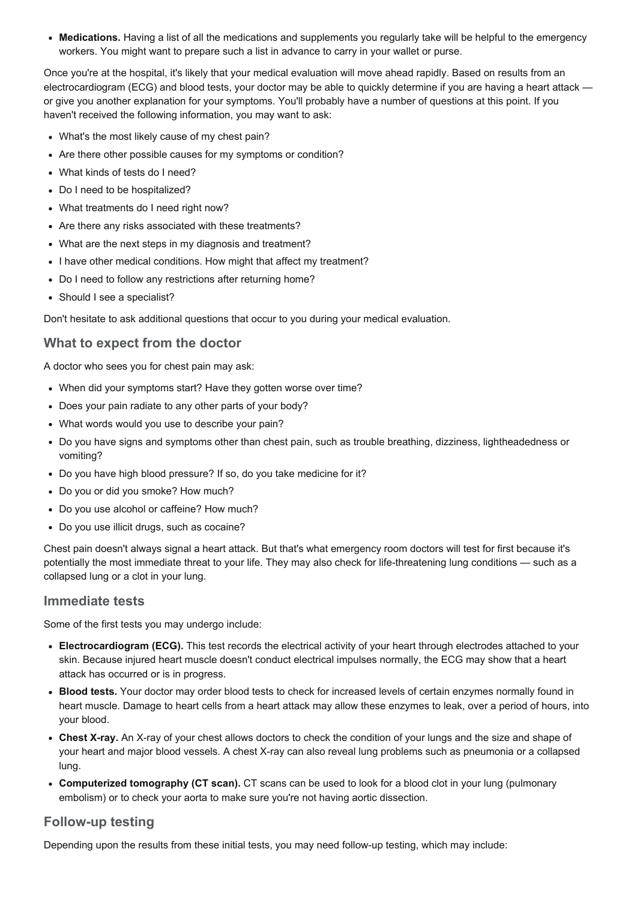• Medications. Having a list of all the medications and supplements you regularly take will be helpful to the emergency workers. You might want to prepare such a list in advance to carry in your wallet or purse.

Once you're at the hospital, it's likely that your medical evaluation will move ahead rapidly. Based on results from an electrocardiogram (ECG) and blood tests, your doctor may be able to quickly determine if you are having a heart attack or give you another explanation for your symptoms. You'll probably have a number of questions at this point. If you haven't received the following information, you may want to ask:

- What's the most likely cause of my chest pain?
- Are there other possible causes for my symptoms or condition?
- What kinds of tests do I need?
- Do I need to be hospitalized?
- What treatments do I need right now?
- Are there any risks associated with these treatments?
- What are the next steps in my diagnosis and treatment?
- I have other medical conditions. How might that affect my treatment?
- Do I need to follow any restrictions after returning home?
- Should I see a specialist?

Don't hesitate to ask additional questions that occur to you during your medical evaluation.

## What to expect from the doctor

A doctor who sees you for chest pain may ask:

- When did your symptoms start? Have they gotten worse over time?
- Does your pain radiate to any other parts of your body?
- What words would you use to describe your pain?
- Do you have signs and symptoms other than chest pain, such as trouble breathing, dizziness, lightheadedness or vomiting?
- Do you have high blood pressure? If so, do you take medicine for it?
- Do you or did you smoke? How much?
- Do you use alcohol or caffeine? How much?
- Do you use illicit drugs, such as cocaine?

Chest pain doesn't always signal a heart attack. But that's what emergency room doctors will test for first because it's potentially the most immediate threat to your life. They may also check for life-threatening lung conditions — such as a collapsed lung or a clot in your lung.

### Immediate tests

Some of the first tests you may undergo include:

- Electrocardiogram (ECG). This test records the electrical activity of your heart through electrodes attached to your skin. Because injured heart muscle doesn't conduct electrical impulses normally, the ECG may show that a heart attack has occurred or is in progress.
- Blood tests. Your doctor may order blood tests to check for increased levels of certain enzymes normally found in heart muscle. Damage to heart cells from a heart attack may allow these enzymes to leak, over a period of hours, into your blood.
- Chest X-ray. An X-ray of your chest allows doctors to check the condition of your lungs and the size and shape of your heart and major blood vessels. A chest X-ray can also reveal lung problems such as pneumonia or a collapsed lung.
- Computerized tomography (CT scan). CT scans can be used to look for a blood clot in your lung (pulmonary embolism) or to check your aorta to make sure you're not having aortic dissection.

#### **Follow-up testing**

Depending upon the results from these initial tests, you may need follow-up testing, which may include: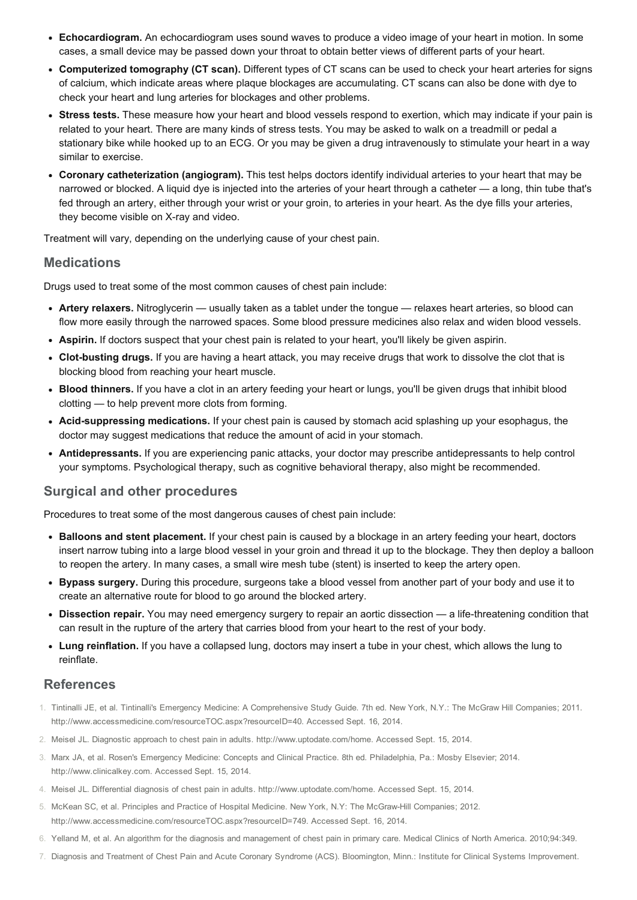- Echocardiogram. An echocardiogram uses sound waves to produce a video image of your heart in motion. In some cases, a small device may be passed down your throat to obtain better views of different parts of your heart.
- Computerized tomography (CT scan). Different types of CT scans can be used to check your heart arteries for signs of calcium, which indicate areas where plaque blockages are accumulating. CT scans can also be done with dye to check your heart and lung arteries for blockages and other problems.
- Stress tests. These measure how your heart and blood vessels respond to exertion, which may indicate if your pain is related to your heart. There are many kinds of stress tests. You may be asked to walk on a treadmill or pedal a stationary bike while hooked up to an ECG. Or you may be given a drug intravenously to stimulate your heart in a way similar to exercise.
- Coronary catheterization (angiogram). This test helps doctors identify individual arteries to your heart that may be narrowed or blocked. A liquid dye is injected into the arteries of your heart through a catheter — a long, thin tube that's fed through an artery, either through your wrist or your groin, to arteries in your heart. As the dye fills your arteries, they become visible on X-ray and video.

Treatment will vary, depending on the underlying cause of your chest pain.

### **Medications**

Drugs used to treat some of the most common causes of chest pain include:

- Artery relaxers. Nitroglycerin usually taken as a tablet under the tongue relaxes heart arteries, so blood can flow more easily through the narrowed spaces. Some blood pressure medicines also relax and widen blood vessels.
- Aspirin. If doctors suspect that your chest pain is related to your heart, you'll likely be given aspirin.
- Clot-busting drugs. If you are having a heart attack, you may receive drugs that work to dissolve the clot that is blocking blood from reaching your heart muscle.
- Blood thinners. If you have a clot in an artery feeding your heart or lungs, you'll be given drugs that inhibit blood clotting — to help prevent more clots from forming.
- Acid-suppressing medications. If your chest pain is caused by stomach acid splashing up your esophagus, the doctor may suggest medications that reduce the amount of acid in your stomach.
- Antidepressants. If you are experiencing panic attacks, your doctor may prescribe antidepressants to help control your symptoms. Psychological therapy, such as cognitive behavioral therapy, also might be recommended.

# Surgical and other procedures

Procedures to treat some of the most dangerous causes of chest pain include:

- Balloons and stent placement. If your chest pain is caused by a blockage in an artery feeding your heart, doctors insert narrow tubing into a large blood vessel in your groin and thread it up to the blockage. They then deploy a balloon to reopen the artery. In many cases, a small wire mesh tube (stent) is inserted to keep the artery open.
- Bypass surgery. During this procedure, surgeons take a blood vessel from another part of your body and use it to create an alternative route for blood to go around the blocked artery.
- Dissection repair. You may need emergency surgery to repair an aortic dissection a life-threatening condition that can result in the rupture of the artery that carries blood from your heart to the rest of your body.
- Lung reinflation. If you have a collapsed lung, doctors may insert a tube in your chest, which allows the lung to reinflate.

# References

- 1. Tintinalli JE, et al. Tintinalli's Emergency Medicine: A Comprehensive Study Guide. 7th ed. New York, N.Y.: The McGraw Hill Companies; 2011. http://www.accessmedicine.com/resourceTOC.aspx?resourceID=40. Accessed Sept. 16, 2014.
- 2. Meisel JL. Diagnostic approach to chest pain in adults. http://www.uptodate.com/home. Accessed Sept. 15, 2014.
- 3. Marx JA, et al. Rosen's Emergency Medicine: Concepts and Clinical Practice. 8th ed. Philadelphia, Pa.: Mosby Elsevier; 2014. http://www.clinicalkey.com. Accessed Sept. 15, 2014.
- 4. Meisel JL. Differential diagnosis of chest pain in adults. http://www.uptodate.com/home. Accessed Sept. 15, 2014.
- 5. McKean SC, et al. Principles and Practice of Hospital Medicine. New York, N.Y: The McGrawHill Companies; 2012. http://www.accessmedicine.com/resourceTOC.aspx?resourceID=749. Accessed Sept. 16, 2014.
- 6. Yelland M, et al. An algorithm for the diagnosis and management of chest pain in primary care. Medical Clinics of North America. 2010;94:349.
- 7. Diagnosis and Treatment of Chest Pain and Acute Coronary Syndrome (ACS). Bloomington, Minn.: Institute for Clinical Systems Improvement.